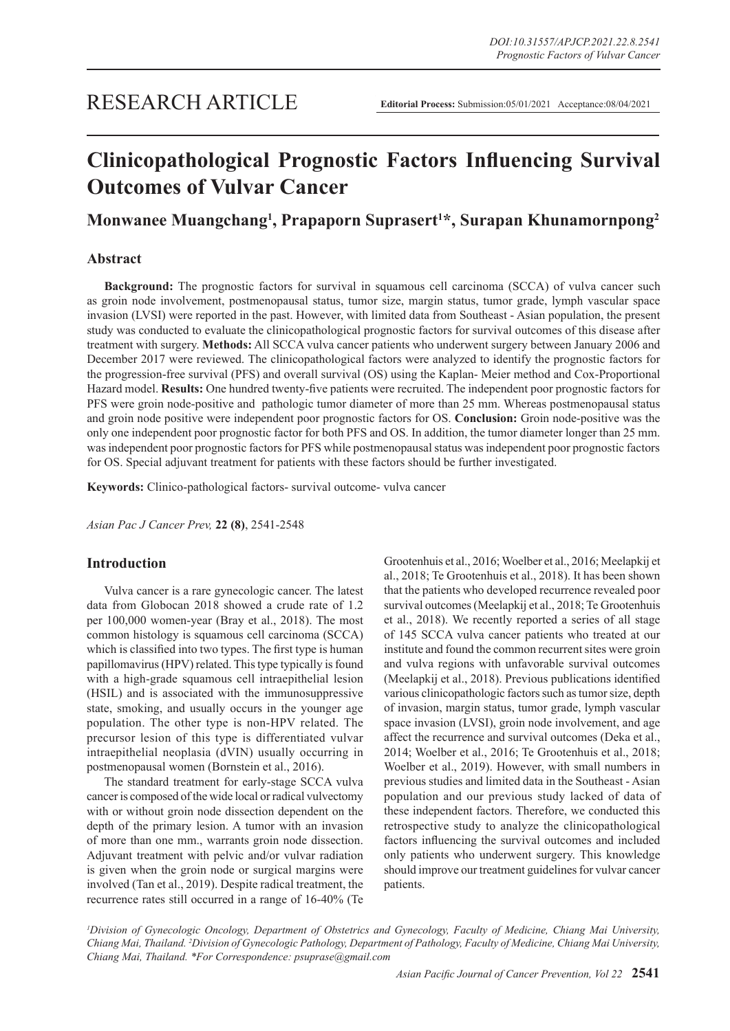# **Clinicopathological Prognostic Factors Influencing Survival Outcomes of Vulvar Cancer**

### **Monwanee Muangchang1 , Prapaporn Suprasert<sup>1</sup> \*, Surapan Khunamornpong2**

### **Abstract**

**Background:** The prognostic factors for survival in squamous cell carcinoma (SCCA) of vulva cancer such as groin node involvement, postmenopausal status, tumor size, margin status, tumor grade, lymph vascular space invasion (LVSI) were reported in the past. However, with limited data from Southeast - Asian population, the present study was conducted to evaluate the clinicopathological prognostic factors for survival outcomes of this disease after treatment with surgery. **Methods:** All SCCA vulva cancer patients who underwent surgery between January 2006 and December 2017 were reviewed. The clinicopathological factors were analyzed to identify the prognostic factors for the progression-free survival (PFS) and overall survival (OS) using the Kaplan- Meier method and Cox-Proportional Hazard model. **Results:** One hundred twenty-five patients were recruited. The independent poor prognostic factors for PFS were groin node-positive and pathologic tumor diameter of more than 25 mm. Whereas postmenopausal status and groin node positive were independent poor prognostic factors for OS. **Conclusion:** Groin node-positive was the only one independent poor prognostic factor for both PFS and OS. In addition, the tumor diameter longer than 25 mm. was independent poor prognostic factors for PFS while postmenopausal status was independent poor prognostic factors for OS. Special adjuvant treatment for patients with these factors should be further investigated.

**Keywords:** Clinico-pathological factors- survival outcome- vulva cancer

*Asian Pac J Cancer Prev,* **22 (8)**, 2541-2548

### **Introduction**

Vulva cancer is a rare gynecologic cancer. The latest data from Globocan 2018 showed a crude rate of 1.2 per 100,000 women-year (Bray et al., 2018). The most common histology is squamous cell carcinoma (SCCA) which is classified into two types. The first type is human papillomavirus (HPV) related. This type typically is found with a high-grade squamous cell intraepithelial lesion (HSIL) and is associated with the immunosuppressive state, smoking, and usually occurs in the younger age population. The other type is non-HPV related. The precursor lesion of this type is differentiated vulvar intraepithelial neoplasia (dVIN) usually occurring in postmenopausal women (Bornstein et al., 2016).

The standard treatment for early-stage SCCA vulva cancer is composed of the wide local or radical vulvectomy with or without groin node dissection dependent on the depth of the primary lesion. A tumor with an invasion of more than one mm., warrants groin node dissection. Adjuvant treatment with pelvic and/or vulvar radiation is given when the groin node or surgical margins were involved (Tan et al., 2019). Despite radical treatment, the recurrence rates still occurred in a range of 16-40% (Te Grootenhuis et al., 2016; Woelber et al., 2016; Meelapkij et al., 2018; Te Grootenhuis et al., 2018). It has been shown that the patients who developed recurrence revealed poor survival outcomes (Meelapkij et al., 2018; Te Grootenhuis et al., 2018). We recently reported a series of all stage of 145 SCCA vulva cancer patients who treated at our institute and found the common recurrent sites were groin and vulva regions with unfavorable survival outcomes (Meelapkij et al., 2018). Previous publications identified various clinicopathologic factors such as tumor size, depth of invasion, margin status, tumor grade, lymph vascular space invasion (LVSI), groin node involvement, and age affect the recurrence and survival outcomes (Deka et al., 2014; Woelber et al., 2016; Te Grootenhuis et al., 2018; Woelber et al., 2019). However, with small numbers in previous studies and limited data in the Southeast - Asian population and our previous study lacked of data of these independent factors. Therefore, we conducted this retrospective study to analyze the clinicopathological factors influencing the survival outcomes and included only patients who underwent surgery. This knowledge should improve our treatment guidelines for vulvar cancer patients.

*1 Division of Gynecologic Oncology, Department of Obstetrics and Gynecology, Faculty of Medicine, Chiang Mai University, Chiang Mai, Thailand. 2 Division of Gynecologic Pathology, Department of Pathology, Faculty of Medicine, Chiang Mai University, Chiang Mai, Thailand. \*For Correspondence: psuprase@gmail.com*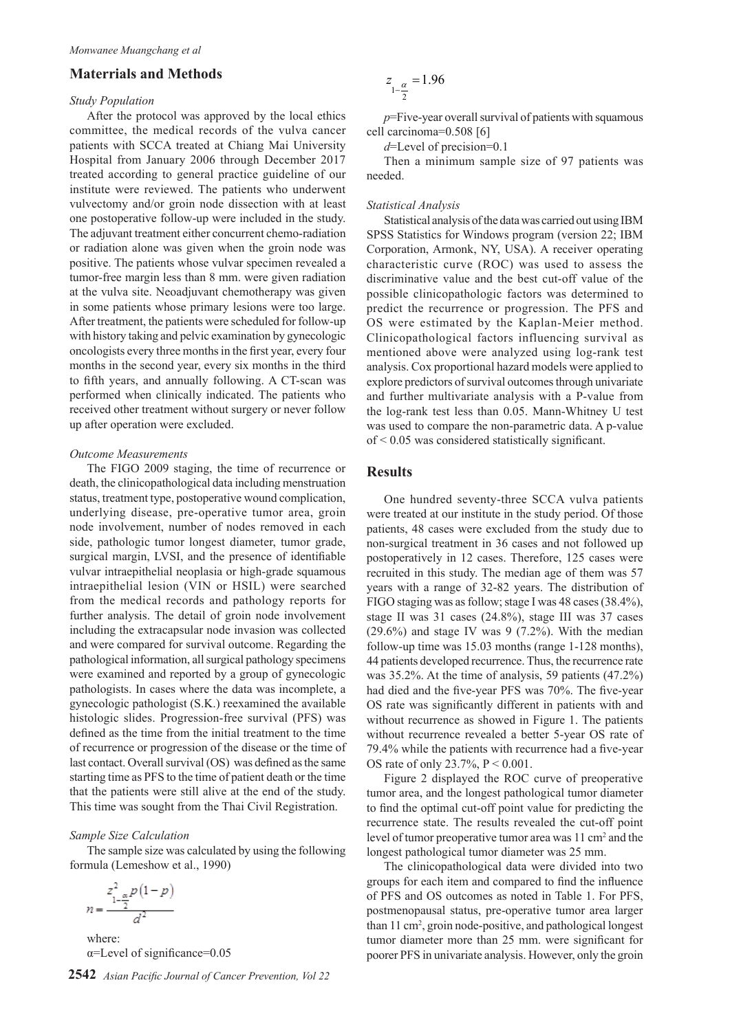### **Materrials and Methods**

### *Study Population*

After the protocol was approved by the local ethics committee, the medical records of the vulva cancer patients with SCCA treated at Chiang Mai University Hospital from January 2006 through December 2017 treated according to general practice guideline of our institute were reviewed. The patients who underwent vulvectomy and/or groin node dissection with at least one postoperative follow-up were included in the study. The adjuvant treatment either concurrent chemo-radiation or radiation alone was given when the groin node was positive. The patients whose vulvar specimen revealed a tumor-free margin less than 8 mm. were given radiation at the vulva site. Neoadjuvant chemotherapy was given in some patients whose primary lesions were too large. After treatment, the patients were scheduled for follow-up with history taking and pelvic examination by gynecologic oncologists every three months in the first year, every four months in the second year, every six months in the third to fifth years, and annually following. A CT-scan was performed when clinically indicated. The patients who received other treatment without surgery or never follow up after operation were excluded.

### *Outcome Measurements*

The FIGO 2009 staging, the time of recurrence or death, the clinicopathological data including menstruation status, treatment type, postoperative wound complication, underlying disease, pre-operative tumor area, groin node involvement, number of nodes removed in each side, pathologic tumor longest diameter, tumor grade, surgical margin, LVSI, and the presence of identifiable vulvar intraepithelial neoplasia or high-grade squamous intraepithelial lesion (VIN or HSIL) were searched from the medical records and pathology reports for further analysis. The detail of groin node involvement including the extracapsular node invasion was collected and were compared for survival outcome. Regarding the pathological information, all surgical pathology specimens were examined and reported by a group of gynecologic pathologists. In cases where the data was incomplete, a gynecologic pathologist (S.K.) reexamined the available histologic slides. Progression-free survival (PFS) was defined as the time from the initial treatment to the time of recurrence or progression of the disease or the time of last contact. Overall survival (OS) was defined as the same starting time as PFS to the time of patient death or the time that the patients were still alive at the end of the study. This time was sought from the Thai Civil Registration.

### *Sample Size Calculation*

The sample size was calculated by using the following formula (Lemeshow et al., 1990)

$$
n = \frac{z_{1-\frac{\alpha}{2}}^2 p(1-p)}{d^2}
$$

where: α=Level of significance=0.05

**2542** *Asian Pacific Journal of Cancer Prevention, Vol 22*

$$
z_{1-\frac{\alpha}{2}} = 1.96
$$

*p*=Five-year overall survival of patients with squamous cell carcinoma=0.508 [6]

*d*=Level of precision=0.1

Then a minimum sample size of 97 patients was needed.

#### *Statistical Analysis*

Statistical analysis of the data was carried out using IBM SPSS Statistics for Windows program (version 22; IBM Corporation, Armonk, NY, USA). A receiver operating characteristic curve (ROC) was used to assess the discriminative value and the best cut-off value of the possible clinicopathologic factors was determined to predict the recurrence or progression. The PFS and OS were estimated by the Kaplan-Meier method. Clinicopathological factors influencing survival as mentioned above were analyzed using log-rank test analysis. Cox proportional hazard models were applied to explore predictors of survival outcomes through univariate and further multivariate analysis with a P-value from the log-rank test less than 0.05. Mann-Whitney U test was used to compare the non-parametric data. A p-value of < 0.05 was considered statistically significant.

### **Results**

One hundred seventy-three SCCA vulva patients were treated at our institute in the study period. Of those patients, 48 cases were excluded from the study due to non-surgical treatment in 36 cases and not followed up postoperatively in 12 cases. Therefore, 125 cases were recruited in this study. The median age of them was 57 years with a range of 32-82 years. The distribution of FIGO staging was as follow; stage I was 48 cases (38.4%), stage II was 31 cases (24.8%), stage III was 37 cases  $(29.6\%)$  and stage IV was 9  $(7.2\%)$ . With the median follow-up time was 15.03 months (range 1-128 months), 44 patients developed recurrence. Thus, the recurrence rate was 35.2%. At the time of analysis, 59 patients (47.2%) had died and the five-year PFS was 70%. The five-year OS rate was significantly different in patients with and without recurrence as showed in Figure 1. The patients without recurrence revealed a better 5-year OS rate of 79.4% while the patients with recurrence had a five-year OS rate of only 23.7%, P < 0.001.

Figure 2 displayed the ROC curve of preoperative tumor area, and the longest pathological tumor diameter to find the optimal cut-off point value for predicting the recurrence state. The results revealed the cut-off point level of tumor preoperative tumor area was 11 cm<sup>2</sup> and the longest pathological tumor diameter was 25 mm.

The clinicopathological data were divided into two groups for each item and compared to find the influence of PFS and OS outcomes as noted in Table 1. For PFS, postmenopausal status, pre-operative tumor area larger than 11 cm2 , groin node-positive, and pathological longest tumor diameter more than 25 mm. were significant for poorer PFS in univariate analysis. However, only the groin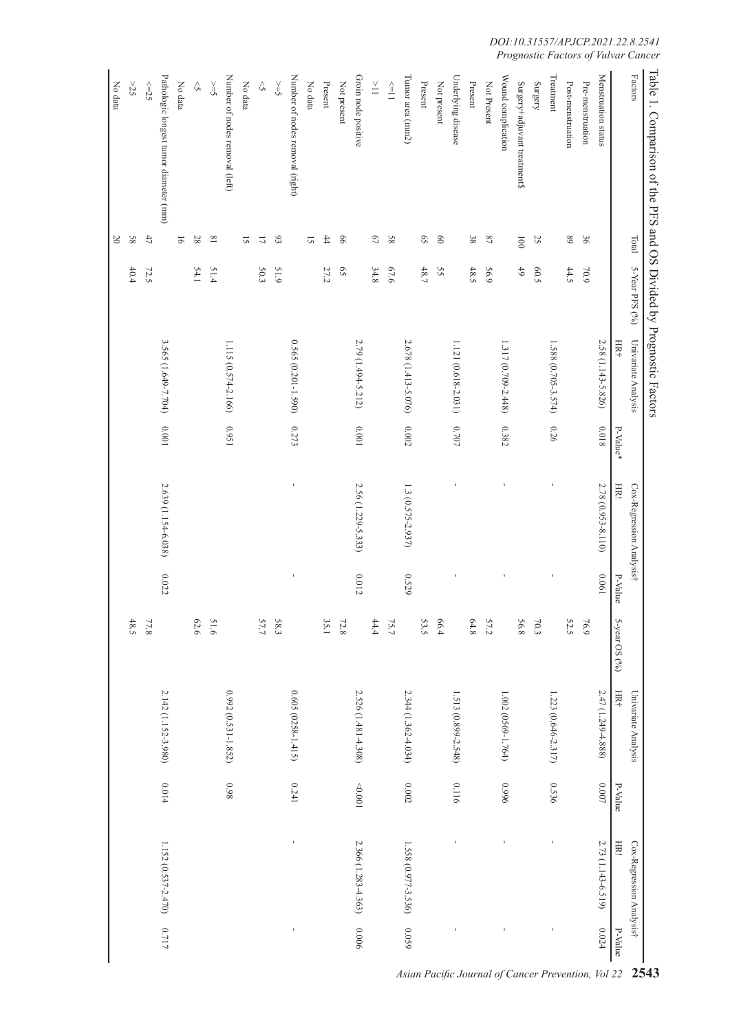| Table 1. Comparison of the PFS and OS Divided by Prognostic Factors |                             |                |                     |           |                          |                |               |                        |                |                          |                |
|---------------------------------------------------------------------|-----------------------------|----------------|---------------------|-----------|--------------------------|----------------|---------------|------------------------|----------------|--------------------------|----------------|
| ${\tt Factors}$                                                     | Total                       | 5-Year PFS (%) | Univariate Analysis |           | Cox-Regression Analysist |                |               | Univariate Analysis    |                | Cox-Regression Analysist |                |
|                                                                     |                             |                | HR+                 | P-Value*  | HR!                      | P-Value        | 5-year OS (%) | <b>HR</b>              | P-Value        | HR.                      | P-Value        |
| Menstruation status                                                 |                             |                | 2.58 (1.143-5.826)  | 81000     | 2.78 (0.953-8.110)       | 190'0          |               | 2.47 (1.249-4.888)     | $\,0000$       | 2.73 (1.143-6.519)       | 0.024          |
| Pre-menstruation                                                    | 36                          | 602            |                     |           |                          |                | 76.9          |                        |                |                          |                |
| Post-menstruation                                                   | $68\,$                      | 44.5           |                     |           |                          |                | 52.5          |                        |                |                          |                |
| Treatment                                                           |                             |                | 1.588 (0.705-3.574) | 0.26      | J                        | $\mathbf{I}$   |               | 1.223 (0.646-2.317)    | 0.536          | f,                       | Ţ              |
| Surgery                                                             | 25                          | 60.5           |                     |           |                          |                | $70.3\,$      |                        |                |                          |                |
| Surgery+adjuvant treatment\$                                        | $\overline{001}$            | 6 <sup>†</sup> |                     |           |                          |                | 56.8          |                        |                |                          |                |
| Wound complication                                                  |                             |                | 1.317 (0.709-2.448) | 0.382     | ı                        |                |               | 1.002 (0569-1.764)     | 9660           |                          | $\mathbf{I}$   |
| Not Present                                                         | $\sqrt{8}$                  | 56.9           |                     |           |                          |                | 57.2          |                        |                |                          |                |
| Present                                                             | 38                          | 48.5           |                     |           |                          |                | 64.8          |                        |                |                          |                |
| Underlying disease                                                  |                             |                | 1.121 (0.618-2.031) | $0.707\,$ |                          |                |               | 1.513 (0.899-2.548)    | 0.116          |                          |                |
| Not present                                                         | $\odot$                     | SS             |                     |           |                          |                | 66.4          |                        |                |                          |                |
| Present                                                             | $\mathcal{S}^{\mathcal{S}}$ | 48.7           |                     |           |                          |                | 53.5          |                        |                |                          |                |
| Tumor area (mm2)                                                    |                             |                | 2.678 (1.413-5.076) | $0.002\,$ | 1.3 (0.575-2.937)        | 0.529          |               | $2.344(1.362 - 4.034)$ | $0.002\,$      | 1.558 (0.977-3.536)      | 6500           |
| $\stackrel{\scriptstyle\wedge}{=}\,$                                | 89                          | 67.6           |                     |           |                          |                | 75.7          |                        |                |                          |                |
| $\stackrel{\scriptscriptstyle\vee}{=}$                              | $\mathcal{L}^{\mathcal{D}}$ | 34.8           |                     |           |                          |                | 44.4          |                        |                |                          |                |
| Groin node positive                                                 |                             |                | 2.79 (1.494-5.212)  | $100.0$   | 2.56 (1.229-5.333)       | 0.012          |               | 2.526 (1.481-4.308)    | $1000$ $\odot$ | 2.366 (1.283-4.363)      | 9000           |
| Not present                                                         | 99                          | $\mathfrak{S}$ |                     |           |                          |                | 72.8          |                        |                |                          |                |
| Present                                                             | $\ddagger$                  | 27.2           |                     |           |                          |                | 35.1          |                        |                |                          |                |
| No data                                                             | 2                           |                |                     |           |                          |                |               |                        |                |                          |                |
| Number of nodes removal (right)                                     |                             |                | 0.565 (0.201-1.590) | 0.273     | $\mathbf{I}$             | $\blacksquare$ |               | $0.605(0258 - 1.415)$  | 0.241          | $\mathbf{I}$             | $\blacksquare$ |
| $\leq$                                                              | 6 <sup>o</sup>              | <b>S1.9</b>    |                     |           |                          |                | 583           |                        |                |                          |                |
| $\Diamond$                                                          | $\overline{\omega}$         | 50.3           |                     |           |                          |                | 57.7          |                        |                |                          |                |
| No data                                                             | 2                           |                |                     |           |                          |                |               |                        |                |                          |                |
| Number of nodes removal (left)                                      |                             |                | 1.115 (0.574-2.166) | 1560      |                          |                |               | 0.992 (0.531-1.852)    | 860            |                          |                |
| $\leq$                                                              | $\overline{8}$              | 51.4           |                     |           |                          |                | 51.6          |                        |                |                          |                |
| $\Diamond$                                                          | 28                          | 54.1           |                     |           |                          |                | 62.6          |                        |                |                          |                |
| No data                                                             | $\overline{9}$              |                |                     |           |                          |                |               |                        |                |                          |                |
| Pathologic longest tumor diameter (mm)                              |                             |                | 3.565 (1.649-7.704) | $10000$   | 2.639 (1.154-6.038)      | 0.022          |               | 2.142 (1.152-3.980)    | $0.014\,$      | 1.152 (0.537-2.470)      | 0.717          |
| $\leq=25$                                                           | $47\,$                      | 72.5           |                     |           |                          |                | 77.8          |                        |                |                          |                |
| 525                                                                 | 58                          | 40.4           |                     |           |                          |                | 48.5          |                        |                |                          |                |
| No data                                                             | $20\,$                      |                |                     |           |                          |                |               |                        |                |                          |                |

*DOI:10.31557/APJCP.2021.22.8.2541 Prognostic Factors of Vulvar Cancer*

*Asian Pacific Journal of Cancer Prevention, Vol 22* **2543**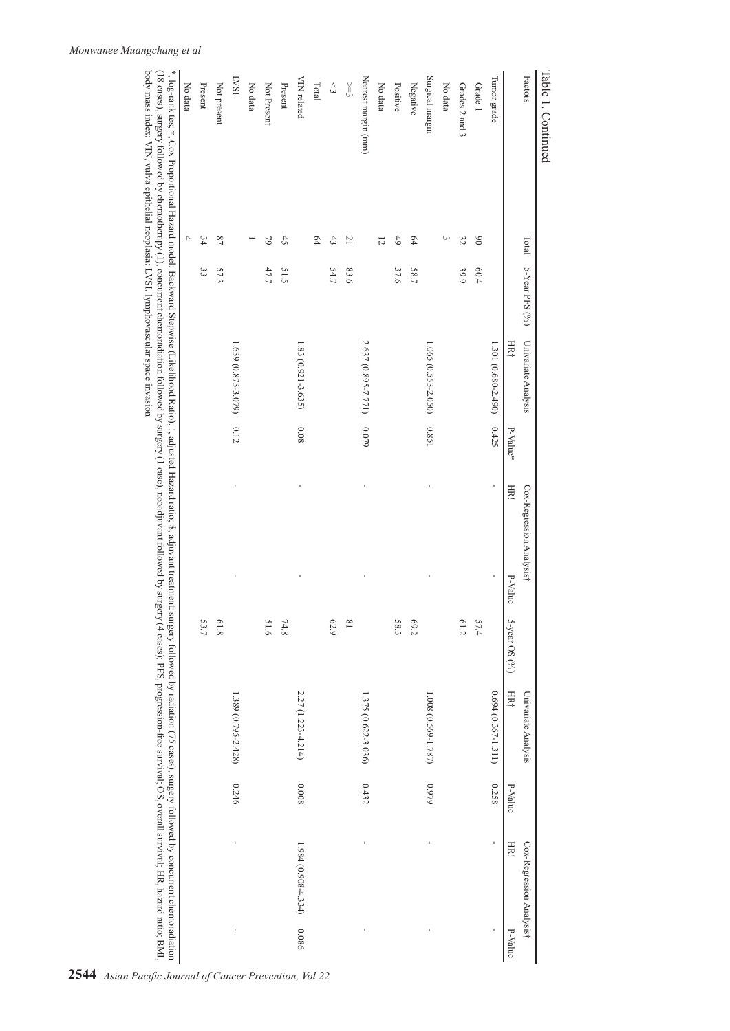| Total                    | 5-Year PFS $(96)$ | Univariate Analysis |                                                                                       |                                            |         |                          | Univariate Analysis    |         | Cox-Regression Analysist |                                                                                                                                                                                                                                                                                                                                                                                                                            |
|--------------------------|-------------------|---------------------|---------------------------------------------------------------------------------------|--------------------------------------------|---------|--------------------------|------------------------|---------|--------------------------|----------------------------------------------------------------------------------------------------------------------------------------------------------------------------------------------------------------------------------------------------------------------------------------------------------------------------------------------------------------------------------------------------------------------------|
|                          |                   | HR+                 | P-Value*                                                                              | H                                          | P-Value | 5-year OS $(96)$         | HR4                    | P-Value | HRI                      | P-Value                                                                                                                                                                                                                                                                                                                                                                                                                    |
|                          |                   | 1.301 (0.680-2.490) | 0.425                                                                                 |                                            | ï       |                          | $0.694(0.367 - 1.311)$ | 0.258   | ï                        | í,                                                                                                                                                                                                                                                                                                                                                                                                                         |
| 66                       | 60.4              |                     |                                                                                       |                                            |         | 57.4                     |                        |         |                          |                                                                                                                                                                                                                                                                                                                                                                                                                            |
| 32                       | 39.9              |                     |                                                                                       |                                            |         | 61.2                     |                        |         |                          |                                                                                                                                                                                                                                                                                                                                                                                                                            |
| ω                        |                   |                     |                                                                                       |                                            |         |                          |                        |         |                          |                                                                                                                                                                                                                                                                                                                                                                                                                            |
|                          |                   |                     |                                                                                       | ı                                          |         |                          | 1.008 (0.569-1.787)    | 6260    |                          |                                                                                                                                                                                                                                                                                                                                                                                                                            |
| $\overline{54}$          | 58.7              |                     |                                                                                       |                                            |         | 69.2                     |                        |         |                          |                                                                                                                                                                                                                                                                                                                                                                                                                            |
| 6 <sup>†</sup>           | 37.6              |                     |                                                                                       |                                            |         | 58.3                     |                        |         |                          |                                                                                                                                                                                                                                                                                                                                                                                                                            |
| 12                       |                   |                     |                                                                                       |                                            |         |                          |                        |         |                          |                                                                                                                                                                                                                                                                                                                                                                                                                            |
|                          |                   | 2.637 (0.895-7.771) |                                                                                       | ı                                          |         |                          | 1.375 (0.622-3.036)    | 0.432   |                          |                                                                                                                                                                                                                                                                                                                                                                                                                            |
| $\overline{C}$           | 83.6              |                     |                                                                                       |                                            |         | $\overline{18}$          |                        |         |                          |                                                                                                                                                                                                                                                                                                                                                                                                                            |
| $\ddot{3}$               | 54.7              |                     |                                                                                       |                                            |         | 62.9                     |                        |         |                          |                                                                                                                                                                                                                                                                                                                                                                                                                            |
| 64                       |                   |                     |                                                                                       |                                            |         |                          |                        |         |                          |                                                                                                                                                                                                                                                                                                                                                                                                                            |
|                          |                   | 1.83 (0.921-3.635)  | 0.08                                                                                  |                                            |         |                          | 2.27 (1.223-4.214)     | 8000    | $1.984(0.908-4.334)$     | 0.086                                                                                                                                                                                                                                                                                                                                                                                                                      |
| $\ddot{5}$               | 51.5              |                     |                                                                                       |                                            |         | 74.8                     |                        |         |                          |                                                                                                                                                                                                                                                                                                                                                                                                                            |
| $\approx$                | 47.7              |                     |                                                                                       |                                            |         | 51.6                     |                        |         |                          |                                                                                                                                                                                                                                                                                                                                                                                                                            |
|                          |                   |                     |                                                                                       |                                            |         |                          |                        |         |                          |                                                                                                                                                                                                                                                                                                                                                                                                                            |
|                          |                   | 1.639 (0.873-3.079) |                                                                                       | ï                                          |         |                          | 1.389 (0.795-2.428)    | 0.246   |                          | I                                                                                                                                                                                                                                                                                                                                                                                                                          |
| $^{22}$                  | 57.3              |                     |                                                                                       |                                            |         | 81.8                     |                        |         |                          |                                                                                                                                                                                                                                                                                                                                                                                                                            |
| 34                       | 33                |                     |                                                                                       |                                            |         | 53.7                     |                        |         |                          |                                                                                                                                                                                                                                                                                                                                                                                                                            |
| $\overline{\phantom{a}}$ |                   |                     |                                                                                       |                                            |         |                          |                        |         |                          |                                                                                                                                                                                                                                                                                                                                                                                                                            |
|                          |                   |                     |                                                                                       |                                            |         |                          |                        |         |                          |                                                                                                                                                                                                                                                                                                                                                                                                                            |
|                          |                   |                     | body mass index; VIN, vulva epithelial neoplasia; LVSI, lymphovascular space invasion | 1.065 (0.553-2.050) 0.851<br>0.12<br>0.079 |         | Cox-Regression Analysis† |                        |         |                          | *, log-rank tes; †, Cox Proportional Hazard model: Backward Stepwise (Likelihood Ratio); I, adjusted Hazard ratio; \$, adjuvant treatment: surgery followed by radiation (75 cases), surgery followed by concurrent chemoradiat<br>(18 cases), surgery followed by chemotherapy (1), concurrent chemoradiation followed by surgery (4 cases); PFS, progression-free survival; OS, overall survival; HR, hazard ratio; BMI, |

**2544** *Asian Pacific Journal of Cancer Prevention, Vol 22*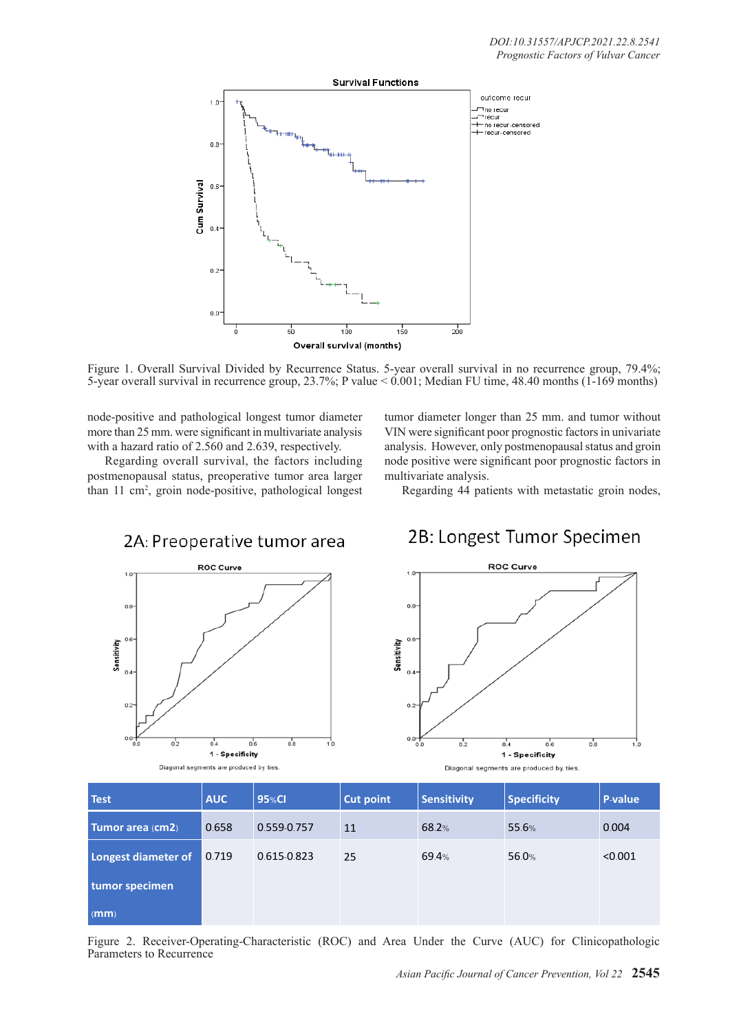

Figure 1. Overall Survival Divided by Recurrence Status. 5-year overall survival in no recurrence group, 79.4%; 5-year overall survival in recurrence group, 23.7%; P value < 0.001; Median FU time, 48.40 months (1-169 months)

node-positive and pathological longest tumor diameter more than 25 mm. were significant in multivariate analysis with a hazard ratio of 2.560 and 2.639, respectively.

Regarding overall survival, the factors including postmenopausal status, preoperative tumor area larger than 11 cm2 , groin node-positive, pathological longest tumor diameter longer than 25 mm. and tumor without VIN were significant poor prognostic factors in univariate analysis. However, only postmenopausal status and groin node positive were significant poor prognostic factors in multivariate analysis.

Regarding 44 patients with metastatic groin nodes,





## 2B: Longest Tumor Specimen



Diagonal segments are produced by ties.

| <b>Test</b>         | <b>AUC</b> | 95%CI       | <b>Cut point</b> | <b>Sensitivity</b> | <b>Specificity</b> | <b>P-value</b> |
|---------------------|------------|-------------|------------------|--------------------|--------------------|----------------|
| Tumor area (cm2)    | 0.658      | 0.559-0.757 | 11               | 68.2%              | 55.6%              | 0.004          |
| Longest diameter of | 0.719      | 0.615-0.823 | 25               | 69.4%              | 56.0%              | < 0.001        |
| tumor specimen      |            |             |                  |                    |                    |                |
| (mm)                |            |             |                  |                    |                    |                |

Figure 2. Receiver-Operating-Characteristic (ROC) and Area Under the Curve (AUC) for Clinicopathologic Parameters to Recurrence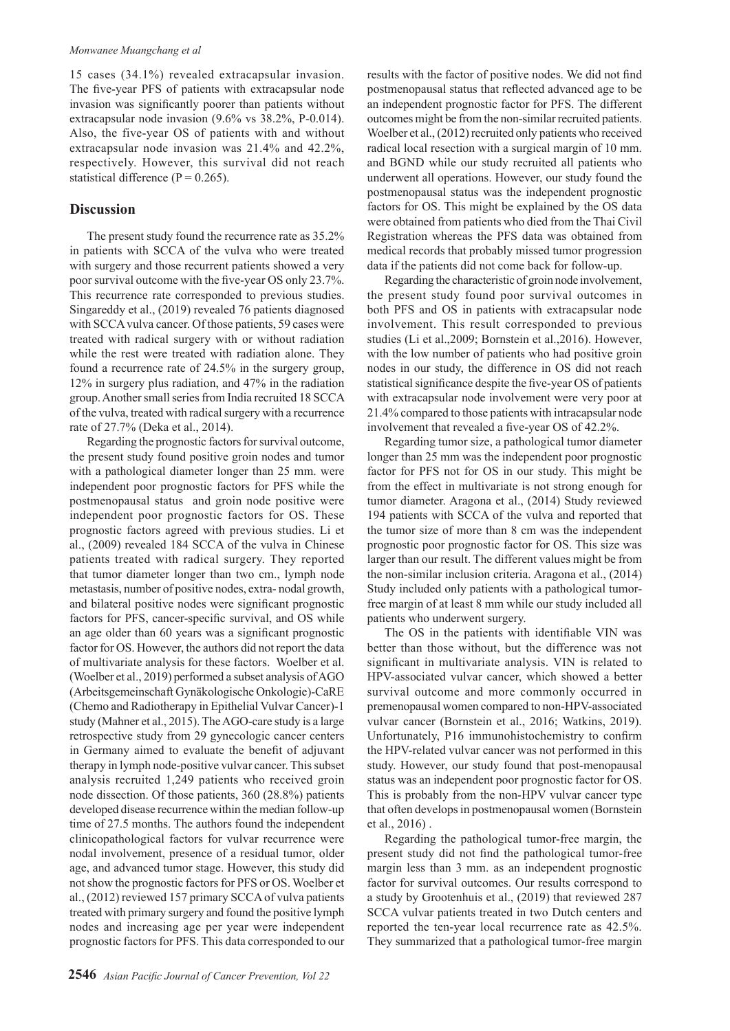15 cases (34.1%) revealed extracapsular invasion. The five-year PFS of patients with extracapsular node invasion was significantly poorer than patients without extracapsular node invasion (9.6% vs 38.2%, P-0.014). Also, the five-year OS of patients with and without extracapsular node invasion was 21.4% and 42.2%, respectively. However, this survival did not reach statistical difference ( $P = 0.265$ ).

### **Discussion**

The present study found the recurrence rate as 35.2% in patients with SCCA of the vulva who were treated with surgery and those recurrent patients showed a very poor survival outcome with the five-year OS only 23.7%. This recurrence rate corresponded to previous studies. Singareddy et al., (2019) revealed 76 patients diagnosed with SCCA vulva cancer. Of those patients, 59 cases were treated with radical surgery with or without radiation while the rest were treated with radiation alone. They found a recurrence rate of 24.5% in the surgery group, 12% in surgery plus radiation, and 47% in the radiation group. Another small series from India recruited 18 SCCA of the vulva, treated with radical surgery with a recurrence rate of 27.7% (Deka et al., 2014).

Regarding the prognostic factors for survival outcome, the present study found positive groin nodes and tumor with a pathological diameter longer than 25 mm. were independent poor prognostic factors for PFS while the postmenopausal status and groin node positive were independent poor prognostic factors for OS. These prognostic factors agreed with previous studies. Li et al., (2009) revealed 184 SCCA of the vulva in Chinese patients treated with radical surgery. They reported that tumor diameter longer than two cm., lymph node metastasis, number of positive nodes, extra- nodal growth, and bilateral positive nodes were significant prognostic factors for PFS, cancer-specific survival, and OS while an age older than 60 years was a significant prognostic factor for OS. However, the authors did not report the data of multivariate analysis for these factors. Woelber et al. (Woelber et al., 2019) performed a subset analysis of AGO (Arbeitsgemeinschaft Gynäkologische Onkologie)-CaRE (Chemo and Radiotherapy in Epithelial Vulvar Cancer)-1 study (Mahner et al., 2015). The AGO-care study is a large retrospective study from 29 gynecologic cancer centers in Germany aimed to evaluate the benefit of adjuvant therapy in lymph node-positive vulvar cancer. This subset analysis recruited 1,249 patients who received groin node dissection. Of those patients, 360 (28.8%) patients developed disease recurrence within the median follow-up time of 27.5 months. The authors found the independent clinicopathological factors for vulvar recurrence were nodal involvement, presence of a residual tumor, older age, and advanced tumor stage. However, this study did not show the prognostic factors for PFS or OS. Woelber et al., (2012) reviewed 157 primary SCCA of vulva patients treated with primary surgery and found the positive lymph nodes and increasing age per year were independent prognostic factors for PFS. This data corresponded to our

results with the factor of positive nodes. We did not find postmenopausal status that reflected advanced age to be an independent prognostic factor for PFS. The different outcomes might be from the non-similar recruited patients. Woelber et al., (2012) recruited only patients who received radical local resection with a surgical margin of 10 mm. and BGND while our study recruited all patients who underwent all operations. However, our study found the postmenopausal status was the independent prognostic factors for OS. This might be explained by the OS data were obtained from patients who died from the Thai Civil Registration whereas the PFS data was obtained from medical records that probably missed tumor progression data if the patients did not come back for follow-up.

Regarding the characteristic of groin node involvement, the present study found poor survival outcomes in both PFS and OS in patients with extracapsular node involvement. This result corresponded to previous studies (Li et al.,2009; Bornstein et al.,2016). However, with the low number of patients who had positive groin nodes in our study, the difference in OS did not reach statistical significance despite the five-year OS of patients with extracapsular node involvement were very poor at 21.4% compared to those patients with intracapsular node involvement that revealed a five-year OS of 42.2%.

Regarding tumor size, a pathological tumor diameter longer than 25 mm was the independent poor prognostic factor for PFS not for OS in our study. This might be from the effect in multivariate is not strong enough for tumor diameter. Aragona et al., (2014) Study reviewed 194 patients with SCCA of the vulva and reported that the tumor size of more than 8 cm was the independent prognostic poor prognostic factor for OS. This size was larger than our result. The different values might be from the non-similar inclusion criteria. Aragona et al., (2014) Study included only patients with a pathological tumorfree margin of at least 8 mm while our study included all patients who underwent surgery.

The OS in the patients with identifiable VIN was better than those without, but the difference was not significant in multivariate analysis. VIN is related to HPV-associated vulvar cancer, which showed a better survival outcome and more commonly occurred in premenopausal women compared to non-HPV-associated vulvar cancer (Bornstein et al., 2016; Watkins, 2019). Unfortunately, P16 immunohistochemistry to confirm the HPV-related vulvar cancer was not performed in this study. However, our study found that post-menopausal status was an independent poor prognostic factor for OS. This is probably from the non-HPV vulvar cancer type that often develops in postmenopausal women (Bornstein et al., 2016) .

Regarding the pathological tumor-free margin, the present study did not find the pathological tumor-free margin less than 3 mm. as an independent prognostic factor for survival outcomes. Our results correspond to a study by Grootenhuis et al., (2019) that reviewed 287 SCCA vulvar patients treated in two Dutch centers and reported the ten-year local recurrence rate as 42.5%. They summarized that a pathological tumor-free margin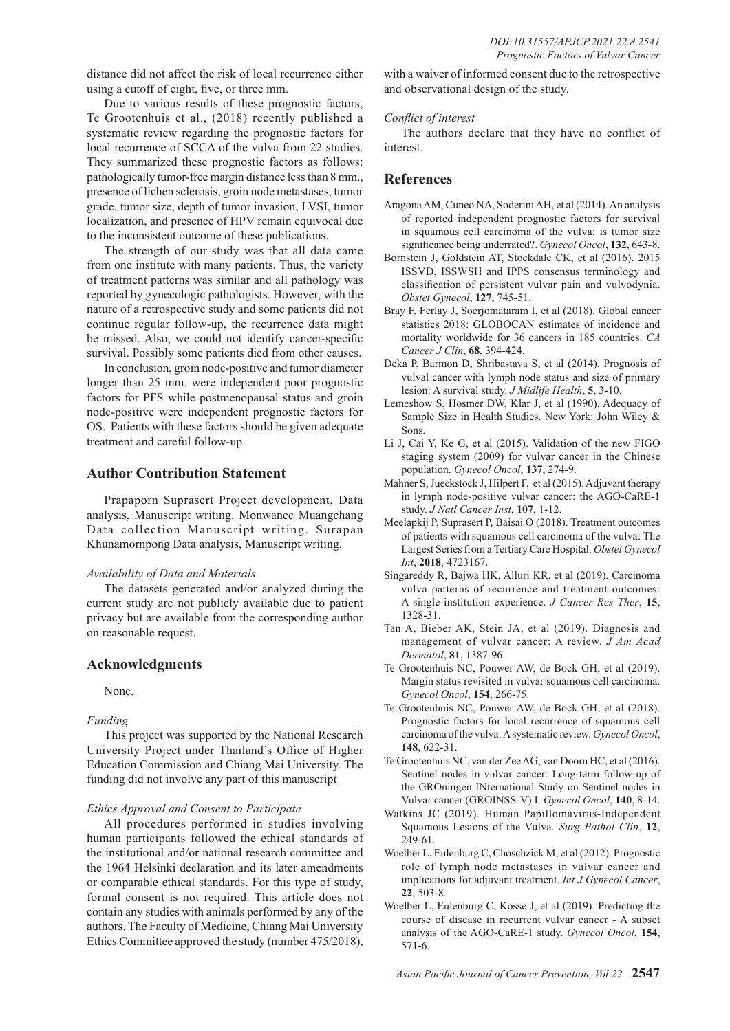distance did not affect the risk of local recurrence either using a cutoff of eight, five, or three mm.

Due to various results of these prognostic factors, Te Grootenhuis et al., (2018) recently published a systematic review regarding the prognostic factors for local recurrence of SCCA of the vulva from 22 studies. They summarized these prognostic factors as follows: pathologically tumor-free margin distance less than 8 mm., presence of lichen sclerosis, groin node metastases, tumor grade, tumor size, depth of tumor invasion, LVSI, tumor localization, and presence of HPV remain equivocal due to the inconsistent outcome of these publications.

The strength of our study was that all data came from one institute with many patients. Thus, the variety of treatment patterns was similar and all pathology was reported by gynecologic pathologists. However, with the nature of a retrospective study and some patients did not continue regular follow-up, the recurrence data might be missed. Also, we could not identify cancer-specific survival. Possibly some patients died from other causes.

In conclusion, groin node-positive and tumor diameter longer than 25 mm. were independent poor prognostic factors for PFS while postmenopausal status and groin node-positive were independent prognostic factors for OS. Patients with these factors should be given adequate treatment and careful follow-up.

### **Author Contribution Statement**

Prapaporn Suprasert Project development, Data analysis, Manuscript writing. Monwanee Muangchang Data collection Manuscript writing. Surapan Khunamornpong Data analysis, Manuscript writing.

### *Availability of Data and Materials*

The datasets generated and/or analyzed during the current study are not publicly available due to patient privacy but are available from the corresponding author on reasonable request.

### **Acknowledgments**

None.

### *Funding*

This project was supported by the National Research University Project under Thailand's Office of Higher Education Commission and Chiang Mai University. The funding did not involve any part of this manuscript

### *Ethics Approval and Consent to Participate*

All procedures performed in studies involving human participants followed the ethical standards of the institutional and/or national research committee and the 1964 Helsinki declaration and its later amendments or comparable ethical standards. For this type of study, formal consent is not required. This article does not contain any studies with animals performed by any of the authors. The Faculty of Medicine, Chiang Mai University Ethics Committee approved the study (number 475/2018),

with a waiver of informed consent due to the retrospective and observational design of the study.

### *Conflict of interest*

The authors declare that they have no conflict of interest.

### **References**

- Aragona AM, Cuneo NA, Soderini AH, et al (2014). An analysis of reported independent prognostic factors for survival in squamous cell carcinoma of the vulva: is tumor size significance being underrated?. *Gynecol Oncol*, **132**, 643-8.
- Bornstein J, Goldstein AT, Stockdale CK, et al (2016). 2015 ISSVD, ISSWSH and IPPS consensus terminology and classification of persistent vulvar pain and vulvodynia. *Obstet Gynecol*, **127**, 745-51.
- Bray F, Ferlay J, Soerjomataram I, et al (2018). Global cancer statistics 2018: GLOBOCAN estimates of incidence and mortality worldwide for 36 cancers in 185 countries. *CA Cancer J Clin*, **68**, 394-424.
- Deka P, Barmon D, Shribastava S, et al (2014). Prognosis of vulval cancer with lymph node status and size of primary lesion: A survival study. *J Midlife Health*, **5**, 3-10.
- Lemeshow S, Hosmer DW, Klar J, et al (1990). Adequacy of Sample Size in Health Studies. New York: John Wiley & Sons.
- Li J, Cai Y, Ke G, et al (2015). Validation of the new FIGO staging system (2009) for vulvar cancer in the Chinese population. *Gynecol Oncol*, **137**, 274-9.
- Mahner S, Jueckstock J, Hilpert F, et al (2015). Adjuvant therapy in lymph node-positive vulvar cancer: the AGO-CaRE-1 study. *J Natl Cancer Inst*, **107**, 1-12.
- Meelapkij P, Suprasert P, Baisai O (2018). Treatment outcomes of patients with squamous cell carcinoma of the vulva: The Largest Series from a Tertiary Care Hospital. *Obstet Gynecol Int*, **2018**, 4723167.
- Singareddy R, Bajwa HK, Alluri KR, et al (2019). Carcinoma vulva patterns of recurrence and treatment outcomes: A single-institution experience. *J Cancer Res Ther*, **15**, 1328-31.
- Tan A, Bieber AK, Stein JA, et al (2019). Diagnosis and management of vulvar cancer: A review. *J Am Acad Dermatol*, **81**, 1387-96.
- Te Grootenhuis NC, Pouwer AW, de Bock GH, et al (2019). Margin status revisited in vulvar squamous cell carcinoma. *Gynecol Oncol*, **154**, 266-75.
- Te Grootenhuis NC, Pouwer AW, de Bock GH, et al (2018). Prognostic factors for local recurrence of squamous cell carcinoma of the vulva: A systematic review. *Gynecol Oncol*, **148**, 622-31.
- Te Grootenhuis NC, van der Zee AG, van Doorn HC, et al (2016). Sentinel nodes in vulvar cancer: Long-term follow-up of the GROningen INternational Study on Sentinel nodes in Vulvar cancer (GROINSS-V) I. *Gynecol Oncol*, **140**, 8-14.
- Watkins JC (2019). Human Papillomavirus-Independent Squamous Lesions of the Vulva. *Surg Pathol Clin*, **12**, 249-61.
- Woelber L, Eulenburg C, Choschzick M, et al (2012). Prognostic role of lymph node metastases in vulvar cancer and implications for adjuvant treatment. *Int J Gynecol Cancer*, **22**, 503-8.
- Woelber L, Eulenburg C, Kosse J, et al (2019). Predicting the course of disease in recurrent vulvar cancer - A subset analysis of the AGO-CaRE-1 study. *Gynecol Oncol*, **154**, 571-6.